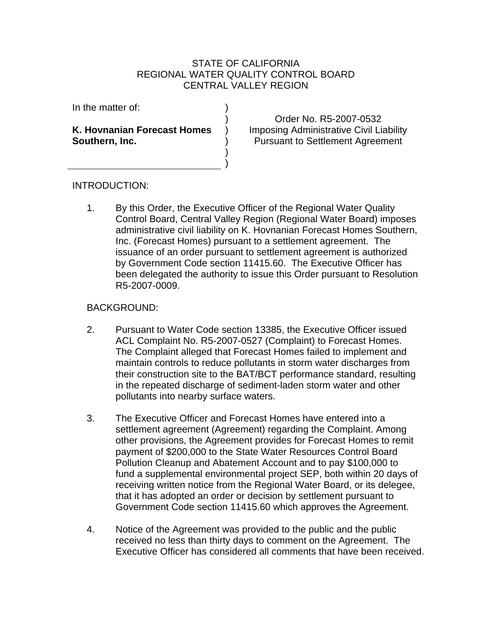## STATE OF CALIFORNIA REGIONAL WATER QUALITY CONTROL BOARD CENTRAL VALLEY REGION

) ) ) ) ) )

In the matter of:

**K. Hovnanian Forecast Homes Southern, Inc.** 

Order No. R5-2007-0532 Imposing Administrative Civil Liability Pursuant to Settlement Agreement

## INTRODUCTION:

1. By this Order, the Executive Officer of the Regional Water Quality Control Board, Central Valley Region (Regional Water Board) imposes administrative civil liability on K. Hovnanian Forecast Homes Southern, Inc. (Forecast Homes) pursuant to a settlement agreement. The issuance of an order pursuant to settlement agreement is authorized by Government Code section 11415.60. The Executive Officer has been delegated the authority to issue this Order pursuant to Resolution R5-2007-0009.

## BACKGROUND:

- 2. Pursuant to Water Code section 13385, the Executive Officer issued ACL Complaint No. R5-2007-0527 (Complaint) to Forecast Homes. The Complaint alleged that Forecast Homes failed to implement and maintain controls to reduce pollutants in storm water discharges from their construction site to the BAT/BCT performance standard, resulting in the repeated discharge of sediment-laden storm water and other pollutants into nearby surface waters.
- 3. The Executive Officer and Forecast Homes have entered into a settlement agreement (Agreement) regarding the Complaint. Among other provisions, the Agreement provides for Forecast Homes to remit payment of \$200,000 to the State Water Resources Control Board Pollution Cleanup and Abatement Account and to pay \$100,000 to fund a supplemental environmental project SEP, both within 20 days of receiving written notice from the Regional Water Board, or its delegee, that it has adopted an order or decision by settlement pursuant to Government Code section 11415.60 which approves the Agreement.
- 4. Notice of the Agreement was provided to the public and the public received no less than thirty days to comment on the Agreement. The Executive Officer has considered all comments that have been received.